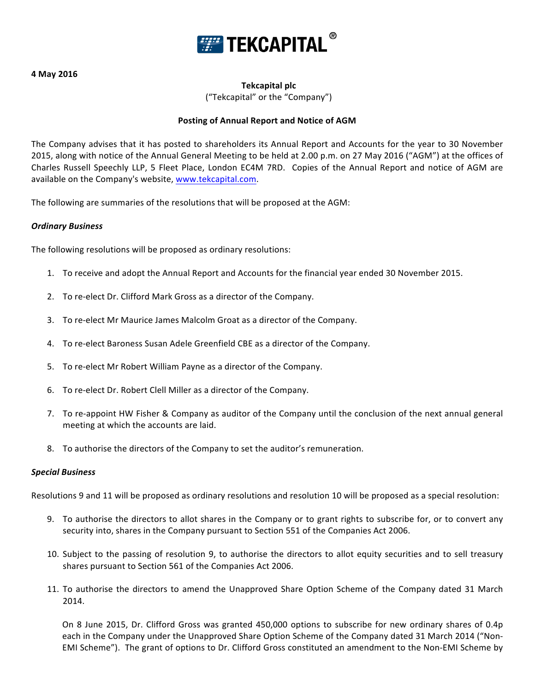

**4 May 2016**

# **Tekcapital plc**

("Tekcapital" or the "Company")

# **Posting of Annual Report and Notice of AGM**

The Company advises that it has posted to shareholders its Annual Report and Accounts for the year to 30 November 2015, along with notice of the Annual General Meeting to be held at 2.00 p.m. on 27 May 2016 ("AGM") at the offices of Charles Russell Speechly LLP, 5 Fleet Place, London EC4M 7RD. Copies of the Annual Report and notice of AGM are available on the Company's website, www.tekcapital.com.

The following are summaries of the resolutions that will be proposed at the AGM:

### *Ordinary Business*

The following resolutions will be proposed as ordinary resolutions:

- 1. To receive and adopt the Annual Report and Accounts for the financial year ended 30 November 2015.
- 2. To re-elect Dr. Clifford Mark Gross as a director of the Company.
- 3. To re-elect Mr Maurice James Malcolm Groat as a director of the Company.
- 4. To re-elect Baroness Susan Adele Greenfield CBE as a director of the Company.
- 5. To re-elect Mr Robert William Payne as a director of the Company.
- 6. To re-elect Dr. Robert Clell Miller as a director of the Company.
- 7. To re-appoint HW Fisher & Company as auditor of the Company until the conclusion of the next annual general meeting at which the accounts are laid.
- 8. To authorise the directors of the Company to set the auditor's remuneration.

### *Special Business*

Resolutions 9 and 11 will be proposed as ordinary resolutions and resolution 10 will be proposed as a special resolution:

- 9. To authorise the directors to allot shares in the Company or to grant rights to subscribe for, or to convert any security into, shares in the Company pursuant to Section 551 of the Companies Act 2006.
- 10. Subject to the passing of resolution 9, to authorise the directors to allot equity securities and to sell treasury shares pursuant to Section 561 of the Companies Act 2006.
- 11. To authorise the directors to amend the Unapproved Share Option Scheme of the Company dated 31 March 2014.

On 8 June 2015, Dr. Clifford Gross was granted 450,000 options to subscribe for new ordinary shares of 0.4p each in the Company under the Unapproved Share Option Scheme of the Company dated 31 March 2014 ("Non-EMI Scheme"). The grant of options to Dr. Clifford Gross constituted an amendment to the Non-EMI Scheme by